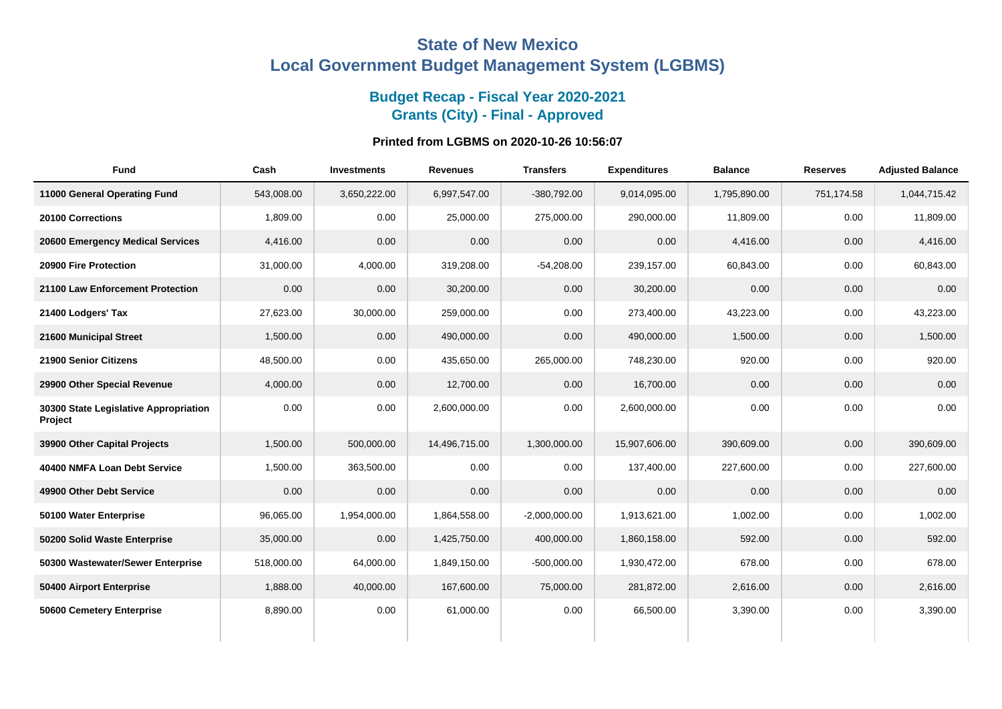## **State of New Mexico Local Government Budget Management System (LGBMS)**

## **Budget Recap - Fiscal Year 2020-2021 Grants (City) - Final - Approved**

## **Printed from LGBMS on 2020-10-26 10:56:07**

| <b>Fund</b>                                      | Cash       | <b>Investments</b> | <b>Revenues</b> | <b>Transfers</b> | <b>Expenditures</b> | <b>Balance</b> | <b>Reserves</b> | <b>Adjusted Balance</b> |
|--------------------------------------------------|------------|--------------------|-----------------|------------------|---------------------|----------------|-----------------|-------------------------|
| 11000 General Operating Fund                     | 543,008.00 | 3,650,222.00       | 6,997,547.00    | $-380,792.00$    | 9,014,095.00        | 1,795,890.00   | 751,174.58      | 1,044,715.42            |
| 20100 Corrections                                | 1,809.00   | 0.00               | 25,000.00       | 275,000.00       | 290,000.00          | 11,809.00      | 0.00            | 11,809.00               |
| 20600 Emergency Medical Services                 | 4,416.00   | 0.00               | 0.00            | 0.00             | 0.00                | 4,416.00       | 0.00            | 4,416.00                |
| 20900 Fire Protection                            | 31,000.00  | 4,000.00           | 319,208.00      | $-54,208.00$     | 239,157.00          | 60,843.00      | 0.00            | 60,843.00               |
| 21100 Law Enforcement Protection                 | 0.00       | 0.00               | 30,200.00       | 0.00             | 30,200.00           | 0.00           | 0.00            | 0.00                    |
| 21400 Lodgers' Tax                               | 27,623.00  | 30,000.00          | 259,000.00      | 0.00             | 273,400.00          | 43,223.00      | 0.00            | 43,223.00               |
| 21600 Municipal Street                           | 1,500.00   | 0.00               | 490,000.00      | 0.00             | 490,000.00          | 1,500.00       | 0.00            | 1,500.00                |
| 21900 Senior Citizens                            | 48,500.00  | 0.00               | 435,650.00      | 265,000.00       | 748,230.00          | 920.00         | 0.00            | 920.00                  |
| 29900 Other Special Revenue                      | 4,000.00   | 0.00               | 12,700.00       | 0.00             | 16,700.00           | 0.00           | 0.00            | 0.00                    |
| 30300 State Legislative Appropriation<br>Project | 0.00       | 0.00               | 2,600,000.00    | 0.00             | 2,600,000.00        | 0.00           | 0.00            | 0.00                    |
| 39900 Other Capital Projects                     | 1,500.00   | 500,000.00         | 14,496,715.00   | 1,300,000.00     | 15,907,606.00       | 390,609.00     | 0.00            | 390,609.00              |
| 40400 NMFA Loan Debt Service                     | 1,500.00   | 363,500.00         | 0.00            | 0.00             | 137,400.00          | 227,600.00     | 0.00            | 227,600.00              |
| 49900 Other Debt Service                         | 0.00       | 0.00               | 0.00            | 0.00             | 0.00                | 0.00           | 0.00            | 0.00                    |
| 50100 Water Enterprise                           | 96,065.00  | 1,954,000.00       | 1,864,558.00    | $-2,000,000.00$  | 1,913,621.00        | 1,002.00       | 0.00            | 1,002.00                |
| 50200 Solid Waste Enterprise                     | 35,000.00  | 0.00               | 1,425,750.00    | 400,000.00       | 1,860,158.00        | 592.00         | 0.00            | 592.00                  |
| 50300 Wastewater/Sewer Enterprise                | 518,000.00 | 64,000.00          | 1,849,150.00    | $-500,000.00$    | 1,930,472.00        | 678.00         | 0.00            | 678.00                  |
| 50400 Airport Enterprise                         | 1,888.00   | 40,000.00          | 167,600.00      | 75,000.00        | 281,872.00          | 2,616.00       | 0.00            | 2,616.00                |
| 50600 Cemetery Enterprise                        | 8,890.00   | 0.00               | 61,000.00       | 0.00             | 66,500.00           | 3,390.00       | 0.00            | 3,390.00                |